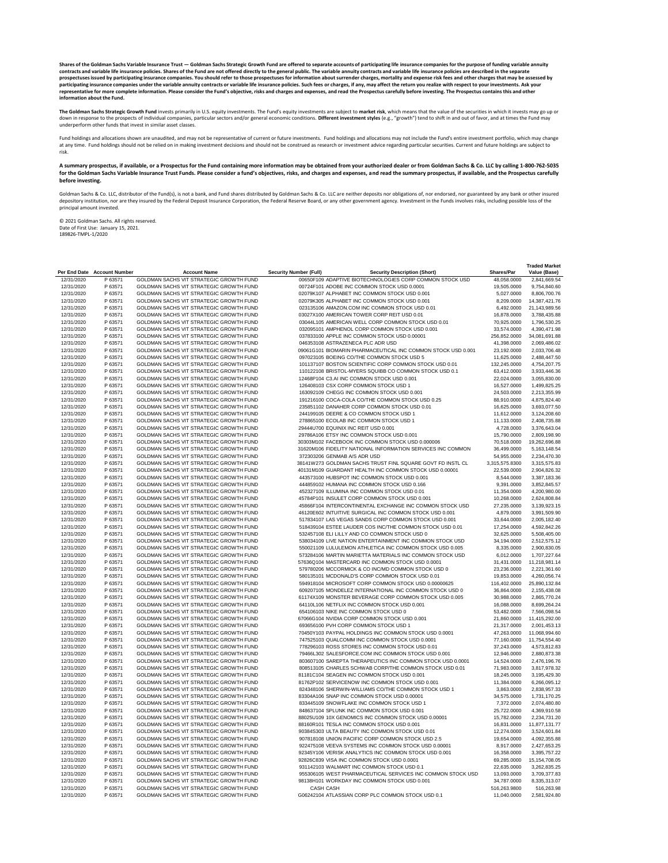|                          |                             |                                                                                    |                                                                                                                   |                             | <b>Traded Market</b>          |
|--------------------------|-----------------------------|------------------------------------------------------------------------------------|-------------------------------------------------------------------------------------------------------------------|-----------------------------|-------------------------------|
|                          | Per End Date Account Number | <b>Account Name</b>                                                                | <b>Security Number (Full)</b><br><b>Security Description (Short)</b>                                              | <b>Shares/Par</b>           | Value (Base)                  |
| 12/31/2020               | P 63571                     | GOLDMAN SACHS VIT STRATEGIC GROWTH FUND                                            | 00650F109 ADAPTIVE BIOTECHNOLOGIES CORP COMMON STOCK USD                                                          | 48,058.0000                 | 2,841,669.54                  |
| 12/31/2020               | P 63571                     | GOLDMAN SACHS VIT STRATEGIC GROWTH FUND                                            | 00724F101 ADOBE INC COMMON STOCK USD 0.0001                                                                       | 19,505.0000                 | 9,754,840.60                  |
| 12/31/2020               | P 63571                     | GOLDMAN SACHS VIT STRATEGIC GROWTH FUND                                            | 02079K107 ALPHABET INC COMMON STOCK USD 0.001                                                                     | 5,027.0000                  | 8,806,700.76                  |
| 12/31/2020               | P 63571                     | GOLDMAN SACHS VIT STRATEGIC GROWTH FUND                                            | 02079K305 ALPHABET INC COMMON STOCK USD 0.001                                                                     | 8,209.0000                  | 14,387,421.76                 |
| 12/31/2020               | P 63571                     | GOLDMAN SACHS VIT STRATEGIC GROWTH FUND                                            | 023135106 AMAZON.COM INC COMMON STOCK USD 0.01                                                                    | 6,492.0000                  | 21,143,989.56                 |
| 12/31/2020               | P 63571                     | GOLDMAN SACHS VIT STRATEGIC GROWTH FUND                                            | 03027X100 AMERICAN TOWER CORP REIT USD 0.01                                                                       | 16,878.0000                 | 3,788,435.88                  |
| 12/31/2020               | P 63571                     | GOLDMAN SACHS VIT STRATEGIC GROWTH FUND<br>GOLDMAN SACHS VIT STRATEGIC GROWTH FUND | 03044L105 AMERICAN WELL CORP COMMON STOCK USD 0.01<br>032095101 AMPHENOL CORP COMMON STOCK USD 0.001              | 70,925.0000                 | 1,796,530.25                  |
| 12/31/2020               | P 63571<br>P 63571          | GOLDMAN SACHS VIT STRATEGIC GROWTH FUND                                            | 037833100 APPLE INC COMMON STOCK USD 0.00001                                                                      | 33,574.0000                 | 4,390,471.98                  |
| 12/31/2020<br>12/31/2020 | P 63571                     | GOLDMAN SACHS VIT STRATEGIC GROWTH FUND                                            | 046353108 ASTRAZENECA PLC ADR USD                                                                                 | 256,852.0000<br>41,398.0000 | 34,081,691.88<br>2,069,486.02 |
| 12/31/2020               | P 63571                     | GOLDMAN SACHS VIT STRATEGIC GROWTH FUND                                            | 09061G101 BIOMARIN PHARMACEUTICAL INC COMMON STOCK USD 0.001                                                      | 23,192.0000                 | 2,033,706.48                  |
| 12/31/2020               | P 63571                     | GOLDMAN SACHS VIT STRATEGIC GROWTH FUND                                            | 097023105 BOEING CO/THE COMMON STOCK USD 5                                                                        | 11,625.0000                 | 2,488,447.50                  |
| 12/31/2020               | P 63571                     | GOLDMAN SACHS VIT STRATEGIC GROWTH FUND                                            | 101137107 BOSTON SCIENTIFIC CORP COMMON STOCK USD 0.01                                                            | 132,245.0000                | 4,754,207.75                  |
| 12/31/2020               | P 63571                     | GOLDMAN SACHS VIT STRATEGIC GROWTH FUND                                            | 110122108 BRISTOL-MYERS SQUIBB CO COMMON STOCK USD 0.1                                                            | 63,412.0000                 | 3,933,446.36                  |
| 12/31/2020               | P 63571                     | GOLDMAN SACHS VIT STRATEGIC GROWTH FUND                                            | 12468P104 C3.AI INC COMMON STOCK USD 0.001                                                                        | 22,024.0000                 | 3,055,830.00                  |
| 12/31/2020               | P 63571                     | GOLDMAN SACHS VIT STRATEGIC GROWTH FUND                                            | 126408103 CSX CORP COMMON STOCK USD 1                                                                             | 16,527.0000                 | 1,499,825.25                  |
| 12/31/2020               | P 63571                     | GOLDMAN SACHS VIT STRATEGIC GROWTH FUND                                            | 163092109 CHEGG INC COMMON STOCK USD 0.001                                                                        | 24,503.0000                 | 2,213,355.99                  |
| 12/31/2020               | P 63571                     | GOLDMAN SACHS VIT STRATEGIC GROWTH FUND                                            | 191216100 COCA-COLA CO/THE COMMON STOCK USD 0.25                                                                  | 88,910.0000                 | 4,875,824.40                  |
| 12/31/2020               | P 63571                     | GOLDMAN SACHS VIT STRATEGIC GROWTH FUND                                            | 235851102 DANAHER CORP COMMON STOCK USD 0.01                                                                      | 16,625.0000                 | 3,693,077.50                  |
| 12/31/2020               | P 63571                     | GOLDMAN SACHS VIT STRATEGIC GROWTH FUND                                            | 244199105 DEERE & CO COMMON STOCK USD 1                                                                           | 11,612.0000                 | 3,124,208.60                  |
| 12/31/2020               | P 63571                     | <b>GOLDMAN SACHS VIT STRATEGIC GROWTH FUND</b>                                     | 278865100 ECOLAB INC COMMON STOCK USD 1                                                                           | 11,133.0000                 | 2,408,735.88                  |
| 12/31/2020               | P 63571                     | GOLDMAN SACHS VIT STRATEGIC GROWTH FUND                                            | 29444U700 EQUINIX INC REIT USD 0.001                                                                              | 4,728.0000                  | 3,376,643.04                  |
| 12/31/2020               | P 63571                     | GOLDMAN SACHS VIT STRATEGIC GROWTH FUND                                            | 29786A106 ETSY INC COMMON STOCK USD 0.001                                                                         | 15,790.0000                 | 2,809,198.90                  |
| 12/31/2020               | P 63571                     | GOLDMAN SACHS VIT STRATEGIC GROWTH FUND                                            | 30303M102 FACEBOOK INC COMMON STOCK USD 0.000006                                                                  | 70,518.0000                 | 19,262,696.88                 |
| 12/31/2020               | P 63571                     | GOLDMAN SACHS VIT STRATEGIC GROWTH FUND                                            | 31620M106 FIDELITY NATIONAL INFORMATION SERVICES INC COMMON                                                       | 36,499.0000                 | 5, 163, 148.54                |
| 12/31/2020               | P 63571                     | GOLDMAN SACHS VIT STRATEGIC GROWTH FUND                                            | 372303206 GENMAB A/S ADR USD                                                                                      | 54,955.0000                 | 2,234,470.30                  |
| 12/31/2020               | P 63571                     | GOLDMAN SACHS VIT STRATEGIC GROWTH FUND                                            | 38141W273 GOLDMAN SACHS TRUST FINL SQUARE GOVT FD INSTL CL                                                        | 3,315,575.8300              | 3,315,575.83                  |
| 12/31/2020               | P 63571                     | GOLDMAN SACHS VIT STRATEGIC GROWTH FUND                                            | 40131M109 GUARDANT HEALTH INC COMMON STOCK USD 0.00001                                                            | 22,539.0000                 | 2,904,826.32                  |
| 12/31/2020               | P 63571                     | GOLDMAN SACHS VIT STRATEGIC GROWTH FUND                                            | 443573100 HUBSPOT INC COMMON STOCK USD 0.001                                                                      | 8,544.0000                  | 3,387,183.36                  |
| 12/31/2020               | P 63571                     | GOLDMAN SACHS VIT STRATEGIC GROWTH FUND                                            | 444859102 HUMANA INC COMMON STOCK USD 0.166                                                                       | 9,391.0000                  | 3,852,845.57                  |
| 12/31/2020               | P 63571                     | GOLDMAN SACHS VIT STRATEGIC GROWTH FUND                                            | 452327109 ILLUMINA INC COMMON STOCK USD 0.01                                                                      | 11,354.0000                 | 4,200,980.00                  |
| 12/31/2020<br>12/31/2020 | P 63571<br>P 63571          | GOLDMAN SACHS VIT STRATEGIC GROWTH FUND<br>GOLDMAN SACHS VIT STRATEGIC GROWTH FUND | 45784P101 INSULET CORP COMMON STOCK USD 0.001<br>45866F104 INTERCONTINENTAL EXCHANGE INC COMMON STOCK USD         | 10,268.0000                 | 2,624,808.84<br>3,139,923.15  |
| 12/31/2020               | P 63571                     | GOLDMAN SACHS VIT STRATEGIC GROWTH FUND                                            | 46120E602 INTUITIVE SURGICAL INC COMMON STOCK USD 0.001                                                           | 27,235.0000<br>4,879.0000   | 3,991,509.90                  |
| 12/31/2020               | P 63571                     | GOLDMAN SACHS VIT STRATEGIC GROWTH FUND                                            | 517834107 LAS VEGAS SANDS CORP COMMON STOCK USD 0.001                                                             | 33,644.0000                 | 2,005,182.40                  |
| 12/31/2020               | P 63571                     | GOLDMAN SACHS VIT STRATEGIC GROWTH FUND                                            | 518439104 ESTEE LAUDER COS INC/THE COMMON STOCK USD 0.01                                                          | 17,254.0000                 | 4,592,842.26                  |
| 12/31/2020               | P 63571                     | GOLDMAN SACHS VIT STRATEGIC GROWTH FUND                                            | 532457108 ELI LILLY AND CO COMMON STOCK USD 0                                                                     | 32,625.0000                 | 5,508,405.00                  |
| 12/31/2020               | P 63571                     | GOLDMAN SACHS VIT STRATEGIC GROWTH FUND                                            | 538034109 LIVE NATION ENTERTAINMENT INC COMMON STOCK USD                                                          | 34,194.0000                 | 2,512,575.12                  |
| 12/31/2020               | P 63571                     | GOLDMAN SACHS VIT STRATEGIC GROWTH FUND                                            | 550021109 LULULEMON ATHLETICA INC COMMON STOCK USD 0.005                                                          | 8,335.0000                  | 2,900,830.05                  |
| 12/31/2020               | P 63571                     | GOLDMAN SACHS VIT STRATEGIC GROWTH FUND                                            | 573284106 MARTIN MARIETTA MATERIALS INC COMMON STOCK USD                                                          | 6,012.0000                  | 1,707,227.64                  |
| 12/31/2020               | P 63571                     | GOLDMAN SACHS VIT STRATEGIC GROWTH FUND                                            | 57636Q104 MASTERCARD INC COMMON STOCK USD 0.0001                                                                  | 31,431.0000                 | 11,218,981.14                 |
| 12/31/2020               | P 63571                     | GOLDMAN SACHS VIT STRATEGIC GROWTH FUND                                            | 579780206 MCCORMICK & CO INC/MD COMMON STOCK USD 0                                                                | 23,236.0000                 | 2,221,361.60                  |
| 12/31/2020               | P 63571                     | GOLDMAN SACHS VIT STRATEGIC GROWTH FUND                                            | 580135101 MCDONALD'S CORP COMMON STOCK USD 0.01                                                                   | 19,853.0000                 | 4,260,056.74                  |
| 12/31/2020               | P 63571                     | GOLDMAN SACHS VIT STRATEGIC GROWTH FUND                                            | 594918104 MICROSOFT CORP COMMON STOCK USD 0.00000625                                                              | 116,402.0000                | 25,890,132.84                 |
| 12/31/2020               | P 63571                     | GOLDMAN SACHS VIT STRATEGIC GROWTH FUND                                            | 609207105 MONDELEZ INTERNATIONAL INC COMMON STOCK USD 0                                                           | 36,864.0000                 | 2,155,438.08                  |
| 12/31/2020               | P 63571                     | GOLDMAN SACHS VIT STRATEGIC GROWTH FUND                                            | 61174X109 MONSTER BEVERAGE CORP COMMON STOCK USD 0.005                                                            | 30,988.0000                 | 2,865,770.24                  |
| 12/31/2020               | P 63571                     | GOLDMAN SACHS VIT STRATEGIC GROWTH FUND                                            | 64110L106 NETFLIX INC COMMON STOCK USD 0.001                                                                      | 16,088.0000                 | 8,699,264.24                  |
| 12/31/2020               | P 63571                     | GOLDMAN SACHS VIT STRATEGIC GROWTH FUND                                            | 654106103 NIKE INC COMMON STOCK USD 0                                                                             | 53,482.0000                 | 7,566,098.54                  |
| 12/31/2020               | P 63571                     | GOLDMAN SACHS VIT STRATEGIC GROWTH FUND                                            | 67066G104 NVIDIA CORP COMMON STOCK USD 0.001                                                                      | 21,860.0000                 | 11,415,292.00                 |
| 12/31/2020               | P 63571                     | GOLDMAN SACHS VIT STRATEGIC GROWTH FUND                                            | 693656100 PVH CORP COMMON STOCK USD 1                                                                             | 21,317.0000                 | 2,001,453.13                  |
| 12/31/2020               | P 63571                     | GOLDMAN SACHS VIT STRATEGIC GROWTH FUND                                            | 70450Y103 PAYPAL HOLDINGS INC COMMON STOCK USD 0.0001                                                             | 47,263.0000                 | 11,068,994.60                 |
| 12/31/2020               | P 63571                     | GOLDMAN SACHS VIT STRATEGIC GROWTH FUND                                            | 747525103 QUALCOMM INC COMMON STOCK USD 0.0001                                                                    | 77,160.0000                 | 11,754,554.40                 |
| 12/31/2020               | P 63571                     | GOLDMAN SACHS VIT STRATEGIC GROWTH FUND                                            | 778296103 ROSS STORES INC COMMON STOCK USD 0.01                                                                   | 37,243.0000                 | 4,573,812.83<br>2,880,873.38  |
| 12/31/2020<br>12/31/2020 | P 63571<br>P 63571          | GOLDMAN SACHS VIT STRATEGIC GROWTH FUND<br>GOLDMAN SACHS VIT STRATEGIC GROWTH FUND | 79466L302 SALESFORCE.COM INC COMMON STOCK USD 0.001<br>803607100 SAREPTA THERAPEUTICS INC COMMON STOCK USD 0.0001 | 12,946.0000<br>14,524.0000  | 2,476,196.76                  |
| 12/31/2020               | P 63571                     | GOLDMAN SACHS VIT STRATEGIC GROWTH FUND                                            | 808513105 CHARLES SCHWAB CORP/THE COMMON STOCK USD 0.01                                                           | 71,983.0000                 | 3,817,978.32                  |
| 12/31/2020               | P 63571                     | GOLDMAN SACHS VIT STRATEGIC GROWTH FUND                                            | 81181C104 SEAGEN INC COMMON STOCK USD 0.001                                                                       | 18,245.0000                 | 3,195,429.30                  |
| 12/31/2020               | P 63571                     | GOLDMAN SACHS VIT STRATEGIC GROWTH FUND                                            | 81762P102 SERVICENOW INC COMMON STOCK USD 0.001                                                                   | 11,384.0000                 | 6,266,095.12                  |
| 12/31/2020               | P 63571                     | GOLDMAN SACHS VIT STRATEGIC GROWTH FUND                                            | 824348106 SHERWIN-WILLIAMS CO/THE COMMON STOCK USD 1                                                              | 3,863.0000                  | 2,838,957.33                  |
| 12/31/2020               | P 63571                     | GOLDMAN SACHS VIT STRATEGIC GROWTH FUND                                            | 83304A106 SNAP INC COMMON STOCK USD 0.00001                                                                       | 34,575.0000                 | 1,731,170.25                  |
| 12/31/2020               | P 63571                     | GOLDMAN SACHS VIT STRATEGIC GROWTH FUND                                            | 833445109 SNOWFLAKE INC COMMON STOCK USD 1                                                                        | 7,372.0000                  | 2,074,480.80                  |
| 12/31/2020               | P 63571                     | GOLDMAN SACHS VIT STRATEGIC GROWTH FUND                                            | 848637104 SPLUNK INC COMMON STOCK USD 0.001                                                                       | 25,722.0000                 | 4,369,910.58                  |
| 12/31/2020               | P 63571                     | GOLDMAN SACHS VIT STRATEGIC GROWTH FUND                                            | 88025U109 10X GENOMICS INC COMMON STOCK USD 0.00001                                                               | 15,782.0000                 | 2,234,731.20                  |
| 12/31/2020               | P 63571                     | GOLDMAN SACHS VIT STRATEGIC GROWTH FUND                                            | 88160R101 TESLA INC COMMON STOCK USD 0.001                                                                        | 16,831.0000                 | 11,877,131.77                 |
| 12/31/2020               | P 63571                     | GOLDMAN SACHS VIT STRATEGIC GROWTH FUND                                            | 90384S303 ULTA BEAUTY INC COMMON STOCK USD 0.01                                                                   | 12,274.0000                 | 3,524,601.84                  |
| 12/31/2020               | P 63571                     | GOLDMAN SACHS VIT STRATEGIC GROWTH FUND                                            | 907818108 UNION PACIFIC CORP COMMON STOCK USD 2.5                                                                 | 19,654.0000                 | 4,092,355.88                  |
| 12/31/2020               | P 63571                     | GOLDMAN SACHS VIT STRATEGIC GROWTH FUND                                            | 922475108 VEEVA SYSTEMS INC COMMON STOCK USD 0.00001                                                              | 8,917.0000                  | 2,427,653.25                  |
| 12/31/2020               | P 63571                     | GOLDMAN SACHS VIT STRATEGIC GROWTH FUND                                            | 92345Y106 VERISK ANALYTICS INC COMMON STOCK USD 0.001                                                             | 16,358.0000                 | 3,395,757.22                  |
| 12/31/2020               | P 63571                     | GOLDMAN SACHS VIT STRATEGIC GROWTH FUND                                            | 92826C839 VISA INC COMMON STOCK USD 0.0001                                                                        | 69,285.0000                 | 15,154,708.05                 |
| 12/31/2020               | P 63571                     | GOLDMAN SACHS VIT STRATEGIC GROWTH FUND                                            | 931142103 WALMART INC COMMON STOCK USD 0.1                                                                        | 22,635.0000                 | 3,262,835.25                  |
| 12/31/2020               | P 63571                     | GOLDMAN SACHS VIT STRATEGIC GROWTH FUND                                            | 955306105 WEST PHARMACEUTICAL SERVICES INC COMMON STOCK USD                                                       | 13,093.0000                 | 3,709,377.83                  |
| 12/31/2020               | P 63571                     | GOLDMAN SACHS VIT STRATEGIC GROWTH FUND                                            | 98138H101 WORKDAY INC COMMON STOCK USD 0.001                                                                      | 34,787.0000                 | 8,335,313.07                  |
| 12/31/2020               | P 63571                     | GOLDMAN SACHS VIT STRATEGIC GROWTH FUND                                            | <b>CASH CASH</b>                                                                                                  | 516,263.9800                | 516,263.98                    |
| 12/31/2020               | P 63571                     | GOLDMAN SACHS VIT STRATEGIC GROWTH FUND                                            | G06242104 ATLASSIAN CORP PLC COMMON STOCK USD 0.1                                                                 | 11,040.0000                 | 2,581,924.80                  |

Shares of the Goldman Sachs Variable Insurance Trust — Goldman Sachs Strategic Growth Fund are offered to separate accounts of participating life insurance companies for the purpose of funding variable annuity **contracts and variable life insurance policies. Shares of the Fund are not offered directly to the general public. The variable annuity contracts and variable life insurance policies are described in the separate**  prospectuses issued by participating insurance companies. You should refer to those prospectuses for information about surrender charges, mortality and expense risk fees and other charges that may be assessed by **participating insurance companies under the variable annuity contracts or variable life insurance policies. Such fees or charges, if any, may affect the return you realize with respect to your investments. Ask your**  representative for more complete information. Please consider the Fund's objective, risks and charges and expenses, and read the Prospectus carefully before investing. The Prospectus contains this and other **information about the Fund.**

The Goldman Sachs Strategic Growth Fund invests primarily in U.S. equity investments. The Fund's equity investments are subject to market risk, which means that the value of the securities in which it invests may go up or down in response to the prospects of individual companies, particular sectors and/or general economic conditions. Different investment styles (e.g., "growth") tend to shift in and out of favor, and at times the Fund may underperform other funds that invest in similar asset classes.

Fund holdings and allocations shown are unaudited, and may not be representative of current or future investments. Fund holdings and allocations may not include the Fund's entire investment portfolio, which may change at any time. Fund holdings should not be relied on in making investment decisions and should not be construed as research or investment advice regarding particular securities. Current and future holdings are subject to risk.

Goldman Sachs & Co. LLC, distributor of the Fund(s), is not a bank, and Fund shares distributed by Goldman Sachs & Co. LLC are neither deposits nor obligations of, nor endorsed, nor guaranteed by any bank or other insured depository institution, nor are they insured by the Federal Deposit Insurance Corporation, the Federal Reserve Board, or any other government agency. Investment in the Funds involves risks, including possible loss of the principal amount invested.

**A summary prospectus, if available, or a Prospectus for the Fund containing more information may be obtained from your authorized dealer or from Goldman Sachs & Co. LLC by calling 1-800-762-5035 for the Goldman Sachs Variable Insurance Trust Funds. Please consider a fund's objectives, risks, and charges and expenses, and read the summary prospectus, if available, and the Prospectus carefully before investing.**

© 2021 Goldman Sachs. All rights reserved. Date of First Use: January 15, 2021. 189826-TMPL-1/2020